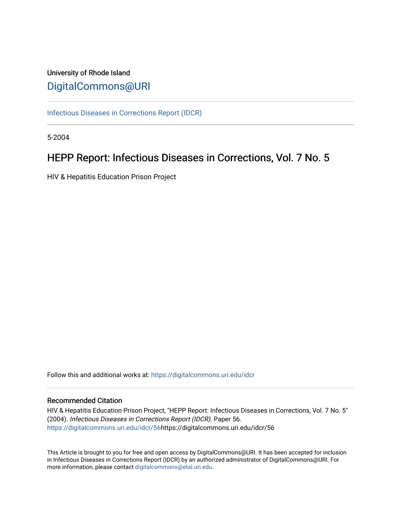# University of Rhode Island [DigitalCommons@URI](https://digitalcommons.uri.edu/)

[Infectious Diseases in Corrections Report \(IDCR\)](https://digitalcommons.uri.edu/idcr)

5-2004

# HEPP Report: Infectious Diseases in Corrections, Vol. 7 No. 5

HIV & Hepatitis Education Prison Project

Follow this and additional works at: [https://digitalcommons.uri.edu/idcr](https://digitalcommons.uri.edu/idcr?utm_source=digitalcommons.uri.edu%2Fidcr%2F56&utm_medium=PDF&utm_campaign=PDFCoverPages)

## Recommended Citation

HIV & Hepatitis Education Prison Project, "HEPP Report: Infectious Diseases in Corrections, Vol. 7 No. 5" (2004). Infectious Diseases in Corrections Report (IDCR). Paper 56. [https://digitalcommons.uri.edu/idcr/56h](https://digitalcommons.uri.edu/idcr/56?utm_source=digitalcommons.uri.edu%2Fidcr%2F56&utm_medium=PDF&utm_campaign=PDFCoverPages)ttps://digitalcommons.uri.edu/idcr/56

This Article is brought to you for free and open access by DigitalCommons@URI. It has been accepted for inclusion in Infectious Diseases in Corrections Report (IDCR) by an authorized administrator of DigitalCommons@URI. For more information, please contact [digitalcommons@etal.uri.edu.](mailto:digitalcommons@etal.uri.edu)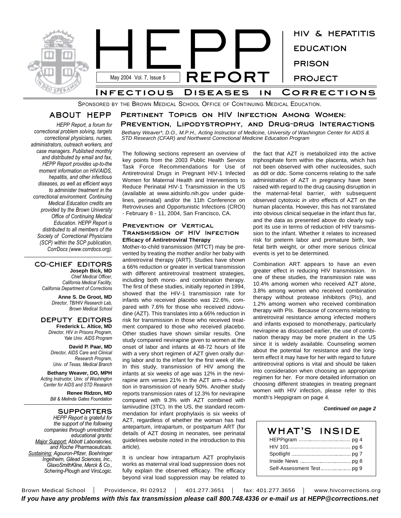

SPONSORED BY THE BROWN MEDICAL SCHOOL OFFICE OF CONTINUING MEDICAL EDUCATION.

## **ABOUT HEPP**

*HEPP Report, a forum for correctional problem solving, targets correctional physicians, nurses, administrators, outreach workers, and case managers. Published monthly and distributed by email and fax, HEPP Report provides up-to-the moment information on HIV/AIDS, hepatitis, and other infectious diseases, as well as efficient ways to administer treatment in the correctional environment. Continuing Medical Education credits are provided by the Brown University Office of Continuing Medical Education. HEPP Report is distributed to all members of the Society of Correctional Physicians (SCP) within the SCP publication, CorrDocs (www.corrdocs.org).*

#### **CO-CHIEF EDITORS Joseph Bick, MD**

*Chief Medical Officer, California Medical Facility, California Department of Corrections*

> **Anne S. De Groot, MD** *Director, TB/HIV Research Lab, Brown Medical School*

#### **DEPUTY EDITORS Frederick L. Altice, MD**

*Director, HIV in Prisons Program, Yale Univ. AIDS Program*

**David P. Paar, MD** *Director, AIDS Care and Clinical Research Program, Univ. of Texas, Medical Branch*

**Bethany Weaver, DO, MPH** *Acting Instructor, Univ. of Washington Center for AIDS and STD Research*

> **Renee Ridzon, MD** *Bill & Melinda Gates Foundation*

#### **SUPPORTERS**

*HEPP Report is grateful for the support of the following companies through unrestricted educational grants: Major Support: Abbott Laboratories, and Roche Pharmaceuticals. Sustaining: Agouron-Pfizer, Boehringer Ingelheim, Gilead Sciences, Inc., GlaxoSmithKline, Merck & Co., Schering-Plough and ViroLogic.*

**Pertinent Topics on HIV Infection Among Women: Prevention, Lipodystrophy, and Drug-drug Interactions**

*Bethany Weaver\*, D.O., M.P.H., Acting Instructor of Medicine, University of Washington Center for AIDS & STD Research (CFAR) and Northwest Correctional Medicine Education Program*

The following sections represent an overview of key points from the 2003 Public Health Service Task Force Recommendations for Use of Antiretroviral Drugs in Pregnant HIV-1 Infected Women for Maternal Health and Interventions to Reduce Perinatal HIV-1 Transmission in the US (available at www.aidsinfo.nih.gov under guidelines, perinatal) and/or the 11th Conference on Retroviruses and Opportunistic Infections (CROI) - February 8 - 11, 2004, San Francisco, CA.

#### **Prevention of Vertical Transmission of HIV Infection Efficacy of Antiretroviral Therapy**

Mother-to-child transmission (MTCT) may be prevented by treating the mother and/or her baby with antiretroviral therapy (ART). Studies have shown a 66% reduction or greater in vertical transmission with different antiretroviral treatment strategies, including both mono- and combination therapy. The first of these studies, initially reported in 1994, showed that the HIV-1 transmission rate for infants who received placebo was 22.6%, compared with 7.6% for those who received zidovudine (AZT). This translates into a 66% reduction in risk for transmission in those who received treatment compared to those who received placebo. Other studies have shown similar results. One study compared nevirapine given to women at the onset of labor and infants at 48-72 hours of life with a very short regimen of AZT given orally during labor and to the infant for the first week of life. In this study, transmission of HIV among the infants at six weeks of age was 12% in the nevirapine arm verses 21% in the AZT arm–a reduction in transmission of nearly 50%. Another study reports transmission rates of 12.3% for nevirapine compared with 9.3% with AZT combined with lamivudine (3TC). In the US, the standard recommendation for infant prophylaxis is six weeks of AZT, regardless of whether the woman has had antepartum, intrapartum, or postpartum ART (for details of AZT dosing in neonates, see perinatal guidelines website noted in the introduction to this article).

It is unclear how intrapartum AZT prophylaxis works as maternal viral load suppression does not fully explain the observed efficacy. The efficacy beyond viral load suppression may be related to the fact that AZT is metabolized into the active triphosphate form within the placenta, which has not been observed with other nucleosides, such as ddl or ddc. Some concerns relating to the safe administration of AZT in pregnancy have been raised with regard to the drug causing disruption in the maternal-fetal barrier, with subsequent observed cytotoxic *in vitro* effects of AZT on the human placenta. However, this has not translated into obvious clinical sequelae in the infant thus far, and the data as presented above do clearly support its use in terms of reduction of HIV transmission to the infant. Whether it relates to increased risk for preterm labor and premature birth, low fetal birth weight, or other more serious clinical events is yet to be determined.

Combination ART appears to have an even greater effect in reducing HIV transmission. In one of these studies, the transmission rate was 10.4% among women who received AZT alone, 3.8% among women who received combination therapy without protease inhibitors (PIs), and 1.2% among women who received combination therapy with PIs. Because of concerns relating to antiretroviral resistance among infected mothers and infants exposed to monotherapy, particularly nevirapine as discussed earlier, the use of combination therapy may be more prudent in the US since it is widely available. Counseling women about the potential for resistance and the longterm effect it may have for her with regard to future antiretroviral options is vital and should be taken into consideration when choosing an appropriate regimen for her. For more detailed information on choosing different strategies in treating pregnant women with HIV infection, please refer to this month's Heppigram on page 4.

#### *Continued on page 2*

| WHAT'S | <b>INSIDE</b> |
|--------|---------------|
|        |               |
|        |               |
|        |               |
|        |               |
|        |               |

Brown Medical School | Providence, RI 02912 | 401.277.3651 | fax: 401.277.3656 | www.hivcorrections.org *If you have any problems with this fax transmission please call 800.748.4336 or e-mail us at HEPP@corrections.net*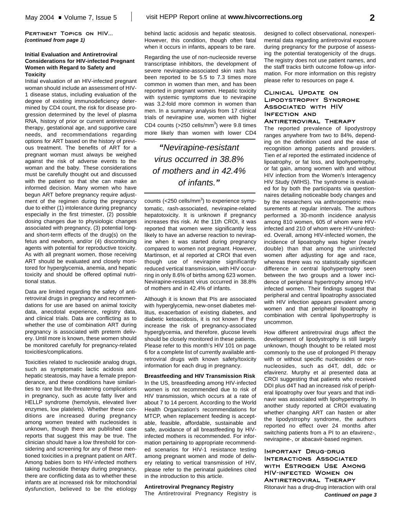#### **Initial Evaluation and Antiretroviral Considerations for HIV-infected Pregnant Women with Regard to Safety and Toxicity**

Initial evaluation of an HIV-infected pregnant woman should include an assessment of HIV-1 disease status, including evaluation of the degree of existing immunodeficiency determined by CD4 count, the risk for disease progression determined by the level of plasma RNA, history of prior or current antiretroviral therapy, gestational age, and supportive care needs, and recommendations regarding options for ART based on the history of previous treatment. The benefits of ART for a pregnant woman must always be weighed against the risk of adverse events to the woman and the baby. These considerations must be carefully thought out and discussed with the patient so that she can make an informed decision. Many women who have begun ART before pregnancy require adjustment of the regimen during the pregnancy due to either (1) intolerance during pregnancy especially in the first trimester, (2) possible dosing changes due to physiologic changes associated with pregnancy, (3) potential longand short-term effects of the drug(s) on the fetus and newborn, and/or (4) discontinuing agents with potential for reproductive toxicity. As with all pregnant women, those receiving ART should be evaluated and closely monitored for hyperglycemia, anemia, and hepatic toxicity and should be offered optimal nutritional status.

Data are limited regarding the safety of antiretroviral drugs in pregnancy and recommendations for use are based on animal toxicity data, anecdotal experience, registry data, and clinical trials. Data are conflicting as to whether the use of combination ART during pregnancy is associated with preterm delivery. Until more is known, these women should be monitored carefully for pregnancy-related toxicities/complications.

Toxicities related to nucleoside analog drugs, such as symptomatic lactic acidosis and hepatic steatosis, may have a female preponderance, and these conditions have similarities to rare but life-threatening complications in pregnancy, such as acute fatty liver and HELLP syndrome (hemolysis, elevated liver enzymes, low platelets). Whether these conditions are increased during pregnancy among women treated with nucleosides is unknown, though there are published case reports that suggest this may be true. The clinician should have a low threshold for considering and screening for any of these mentioned toxicities in a pregnant patient on ART. Among babies born to HIV-infected mothers taking nucleoside therapy during pregnancy, there are conflicting data as to whether these infants are at increased risk for mitochondrial dysfunction, believed to be the etiology behind lactic acidosis and hepatic steatosis. However, this condition, though often fatal when it occurs in infants, appears to be rare.

Regarding the use of non-nucleoside reverse transcriptase inhibitors, the development of severe nevirapine-associated skin rash has been reported to be 5.5 to 7.3 times more common in women than men, and has been reported in pregnant women. Hepatic toxicity with systemic symptoms due to nevirapine was 3.2-fold more common in women than men. In a summary analysis from 17 clinical trials of nevirapine use, women with higher CD4 counts  $($ >250 cells/mm<sup>3</sup> $)$  were 9.8 times more likely than women with lower CD4

# *"Nevirapine-resistant virus occurred in 38.8% of mothers and in 42.4% of infants."*

counts (<250 cells/mm<sup>3</sup>) to experience symptomatic, rash-associated, nevirapine-related hepatotoxicity. It is unknown if pregnancy increases this risk. At the 11th CROI, it was reported that women were significantly less likely to have an adverse reaction to nevirapine when it was started during pregnancy compared to women not pregnant. However, Martinson, et al reported at CROI that even though use of nevirapine significantly reduced vertical transmission, with HIV occurring in only 8.6% of births among 623 women. Nevirapine-resistant virus occurred in 38.8% of mothers and in 42.4% of infants.

Although it is known that PIs are associated with hyperglycemia, new-onset diabetes mellitus, exacerbation of existing diabetes, and diabetic ketoacidosis, it is not known if they increase the risk of pregnancy-associated hyperglycemia, and therefore, glucose levels should be closely monitored in these patients. Please refer to this month's HIV 101 on page 6 for a complete list of currently available antiretroviral drugs with known safety/toxicity information for each drug in pregnancy.

**Breastfeeding and HIV Transmission Risk** In the US, breastfeeding among HIV-infected women is not recommended due to risk of HIV transmission, which occurs at a rate of about 7 to 14 percent. According to the World Health Organization's recommendations for MTCP, when replacement feeding is acceptable, feasible, affordable, sustainable and safe, avoidance of all breastfeeding by HIVinfected mothers is recommended. For information pertaining to appropriate recommended scenarios for HIV-1 resistance testing among pregnant women and mode of delivery relating to vertical transmission of HIV, please refer to the perinatal guidelines cited in the introduction to this article.

#### **Antiretroviral Pregnancy Registry**

The Antiretroviral Pregnancy Registry is

designed to collect observational, nonexperimental data regarding antiretroviral exposure during pregnancy for the purpose of assessing the potential teratogenicity of the drugs. The registry does not use patient names, and the staff tracks birth outcome follow-up information. For more information on this registry please refer to resources on page 4.

#### **Clinical Update on Lipodystrophy Syndrome Associated with HIV Infection and**

#### **Antiretroviral Therapy**

The reported prevalence of lipodystropy ranges anywhere from two to 84%, depending on the definition used and the ease of recognition among patients and providers. Tien *et al* reported the estimated incidence of lipoatrophy, or fat loss, and lipohypertrophy, or fat gain, among women with and without HIV infection from the Women's Interagency HIV Study (WIHS). The syndrome is evaluated for by both the participants via questionnaires detailing noticeable body changes and by the researchers via anthropometric measurements at regular intervals. The authors performed a 30-month incidence analysis among 810 women, 605 of whom were HIVinfected and 210 of whom were HIV-uninfected. Overall, among HIV-infected women, the incidence of lipoatrophy was higher (nearly double) than that among the uninfected women after adjusting for age and race, whereas there was no statistically significant difference in central lipohypertrophy seen between the two groups and a lower incidence of peripheral hypertrophy among HIVinfected women. Their findings suggest that peripheral and central lipoatrophy associated with HIV infection appears prevalent among women and that peripheral lipoatrophy in combination with central lipohypertrophy is uncommon.

How different antiretroviral drugs affect the development of lipodystrophy is still largely unknown, though thought to be related most commonly to the use of prolonged PI therapy with or without specific nucleosides or nonnucleosides, such as d4T, ddI, ddc or efavirenz. Murphy et al presented data at CROI suggesting that patients who received DDI plus d4T had an increased risk of peripheral lipoatrophy over four years and that indinavir was associated with lipohypertrophy. In another study reported at CROI evaluating whether changing ART can hasten or alter the lipodystrophy syndrome, the authors reported no effect over 24 months after switching patients from a PI to an efavirenz-, nevirapine-, or abacavir-based regimen.

**Important Drug-drug Interactions Associated with Estrogen Use Among HIV-infected Women on Antiretroviral Therapy** Ritonavir has a drug-drug interaction with oral

*Continued on page 3*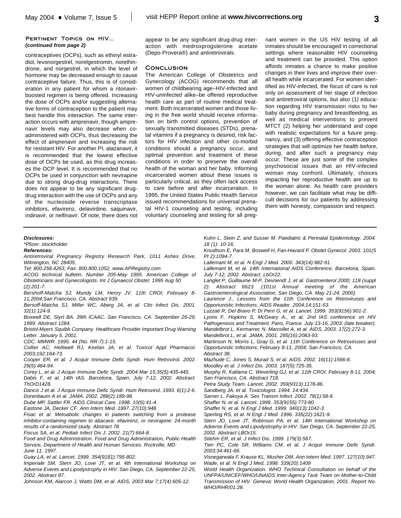#### **Pertinent Topics on HIV...** *(continued from page 2)*

contraceptives (OCPs), such as ethinyl estradiol, levonorgestrel, norelgestromin, norethindrone, and norgestrel, in which the level of hormone may be decreased enough to cause contraceptive failure. Thus, this is of consideration in any patient for whom a ritonavirboosted regimen is being offered. Increasing the dose of OCPs and/or suggesting alternative forms of contraception to the patient may best handle this interaction. The same interaction occurs with amprenavir, though amprenavir levels may also decrease when coadministered with OCPs, thus decreasing the effect of amprenavir and increasing the risk for resistant HIV. For another PI, atazanavir, it is recommended that the lowest effective dose of OCPs be used, as this drug increases the OCP level. It is recommended that no OCPs be used in conjunction with nevirapine due to strong drug-drug interactions. There does not appear to be any significant drugdrug interaction with the use of OCPs and any of the nucleoside reverse transcriptase inhibitors, efavirenz, delavirdine, saquinavir, indinavir, or nelfinavir. Of note, there does not appear to be any significant drug-drug interaction with medroxprogsterone acetate (Depo-Provera®) and antiretrovirals.

#### **Conclusion**

The American College of Obstetrics and Gynecology (ACOG) recommends that all women of childbearing age–HIV-infected and HIV-uninfected alike–be offered reproductive health care as part of routine medical treatment. Both incarcerated women and those living in the free world should receive information on birth control options, prevention of sexually transmitted diseases (STDs), prenatal vitamins if a pregnancy is desired, risk factors for HIV infection and other co-morbid conditions should a pregnancy occur, and optimal prevention and treatment of these conditions in order to preserve the overall health of the woman and her baby. Informing incarcerated women about these issues is particularly critical, as they often lack access to care before and after incarceration. In 1995, the United States Public Health Service issued recommendations for universal prenatal HIV-1 counseling and testing, including voluntary counseling and testing for all preg-

nant women in the US HIV testing of all inmates should be encouraged in correctional settings where reasonable HIV counseling and treatment can be provided. This option affords inmates a chance to make positive changes in their lives and improve their overall health while incarcerated. For women identified as HIV-infected, the focus of care is not only on assessment of her stage of infection and antiretroviral options, but also (1) education regarding HIV transmission risks to her baby during pregnancy and breastfeeding, as well as medical interventions to prevent MTCT (2) helping her understand and cope with realistic expectations for a future pregnancy, and (3) offering effective contraception strategies that will optimize her health before, during, and after such a pregnancy may occur. These are just some of the complex psychosocial issues that an HIV-infected woman may confront. Ultimately, choices impacting her reproductive health are up to the woman alone. As health care providers however, we can facilitate what may be difficult decisions for our patients by addressing them with honesty, compassion and respect.

#### *Disclosures:*

*\*Pfizer: stockholder*

*Antiretroviral Pregnancy Registry Research Park, 1011 Ashes Drive, Wilmington, NC 28405,*

*Tel: 800.258.4263, Fax: 800.800.1052, www.APRegistry.com*

*ACOG technical bulletin. Number 205-May 1995. American College of Obstetricians and Gynecologists. Int J Gynaecol Obstet. 1995 Aug 50 (2):201-7.*

*Bershoff-Matcha SJ, Mundy LM, Henry JV. 11th CROI; February 8- 11,2004;San Francisco, CA. Abstract 939.*

*Bersoff-Matcha SJ, Miller WC, Aberg JA, et al. Clin Infect Dis. 2001. 32(1):124-9.*

*Boxwell DE, Styrt BA. 39th ICAAC. San Francisco, CA. September 26-29, 1999. Abstract 1284.*

*Bristol-Myers Squibb Company. Healthcare Provider Important Drug Warning Letter. January 5, 2001.*

*CDC. MMWR. 1995. 44 (No. RR-7):1-15.*

*Collier AC, Helliwell RJ, Keelan JA, et al. Toxicol Appl Pharmacol. 2003;192:164-73.*

*Cooper ER, et al. J Acquir Immune Defic Syndr. Hum Retrovirol. 2002. 29(5):484-94.*

*Corey L, et al. J Acquir Immune Defic Syndr. 2004 Mar 15;35(5):435-445.*

*Dabis F, et al. 14th IAS. Barcelona, Spain, July 7-12, 2002. Abstract. ThOrD1428.*

*Dancis J et al. J Acquir Immune Defic Syndr. Hum Retrovirol, 1993. 6(1):2-6. Dorenbaum A et al. JAMA. 2002. 288(2):189-98.*

*Dube MP, Sattler FR. AIDS Clinical Care. 1998. 10(6):41-4.*

*Eastone JA, Decker CF. Ann Intern Med. 1997. 27(10):948.*

*Fisac et al. Metoabolic changes in patients switching from a protease inhibitor-containing regimen to abacavir, efavirenz, or nevirapine: 24-month results of a randomized study. Abstract 78.*

*Fiscus SA, et al. Pediatr Infect Dis J. 2002. 21(7):664-8.*

*Food and Drug Administration. Food and Drug Administration, Public Health Service, Department of Health and Human Services. Rockville, MD: June 11, 1997.*

*Guay LA, et al. Lancet. 1999. 354(9181):795-802.*

*Imperiale SM, Stern JO, Love JT, et al. 4th International Workshop on Adverse Events and Lipodystrophy in HIV. San Diego, CA. September 22-25, 2002. Abstract 87.*

*Johnson KM, Alarcon J, Watts DM, et al. AIDS. 2003 Mar 7;17(4):605-12.*

*Kuhn L, Stein Z, and Susser M. Paediatric & Perinatal Epidemiology. 2004. 18 (1): 10-16.*

*Knudtson E, Para M, Boswell H, Fan-Havard P. Obstet Gynecol. 2003. 101(5 Pt 2):1094-7.*

*Lallemant M, et al. N Engl J Med. 2000. 343(14):982-91.*

*Lallemant M, et al. 14th International AIDS Conference, Barcelona, Spain. July 7-12, 2002. Abstract. LbOr22.*

*Langlet P, Guillaume M-P, Devriendt J, et al. Gastroenterol 2000; 118 (suppl 2): Abstract 6623. (101st Annual meeting of the American Gastroenterological Association, San Diego, CA. May 21-24, 2000).*

*Laurence J., Lessons from the 11th Conference on Retroviruses and Opportunistic Infections. AIDS Reader. 2004;14:151-53.*

*Luzzati R, Del Bravo P, Di Perri G, et al. Lancet. 1999. 353(9156):901-2.*

*Lyons F, Hopkins S, McGeary A., et al. 2nd IAS conference on HIV Pathogenesis and Treatment. Paris, France. July 13-16, 2003. (late breaker). Mandelbrot L, Kermarrec N, Marcollet A, et al. AIDS, 2003. 17(2):272-3.*

*Mandelbrot L, et al. JAMA, 2001. 285(16):2083-93.*

*Martinson N, Morris L, Gray G, et al. 11th Conference on Retroviruses and Opportunistic Infections; February 8-11, 2004; San Francisco, CA. Abstract 38.*

*Mazhude C, Jones S, Murad S, et al. AIDS. 2002. 16(11):1566-8.*

*Moodley et al. J Infect Dis. 2003. 187(5):725-35.*

*Murphy R, Katlama C, Weverling GJ, et al. 11th CROI; February 8-11, 2004; San Francisco, CA. Abstract 718.*

*Petra Study Team. Lancet, 2002. 359(9313):1178-86.*

*Sandberg JA, et al. Toxicologist. 1994. 14:434.*

*Sarner L, Fakoya A. Sex Transm Infect. 2002. 78(1):58-9.*

*Shaffer N, et al. Lancet. 1999. 353(9155):773-80.*

*Shaffer N, et al. N Engl J Med. 1999. 340(13):1042-3.*

*Sperling RS, et al. N Engl J Med. 1996. 335(22):1621-9.*

*Stern JO, Love JT, Robinson PA, et al. 14th International Workshop on Adverse Events and Lipodystrophy in HIV. San Diego, CA. September 22-25, 2002. Abstract LBOr15.*

*Stiehm ER, et al. J Infect Dis. 1999. 179(3):567.*

*Tien PC, Cole SR, Williams CM, et al. J Acquir Immune Defic Syndr. 2003;34:461-66.*

*Visnegarwala F, Krause KL, Musher DM. Ann Intern Med. 1997. 127(10):947. Wade, et al. N Engl J Med, 1998. 339(20):1409*

*World Health Organization. WHO Technical Consultation on behalf of the UNFPA/UNICEF/WHO/UNAIDS Inter-Agency Task Team on Mother-to-Child Transmission of HIV. Geneva: World Health Organization, 2001. Report No. WHO/RHR/01.28.*

*References:*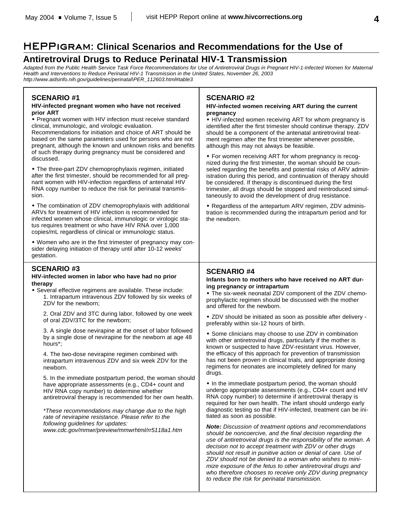## **Antiretroviral Drugs to Reduce Perinatal HIV-1 Transmission**

*Adapted from the Public Health Service Task Force Recommendations for Use of Antiretroviral Drugs in Pregnant HIV-1-Infected Women for Maternal Health and Interventions to Reduce Perinatal HIV-1 Transmission in the United States, November 26, 2003 http://www.aidsinfo.nih.gov/guidelines/perinatal\PER\_112603.html#table3*

## **SCENARIO #1**

discussed.

#### **HIV-infected pregnant women who have not received prior ART**

• Pregnant women with HIV infection must receive standard clinical, immunologic, and virologic evaluation. Recommendations for initiation and choice of ART should be based on the same parameters used for persons who are not pregnant, although the known and unknown risks and benefits of such therapy during pregnancy must be considered and

• The three-part ZDV chemoprophylaxis regimen, initiated after the first trimester, should be recommended for all pregnant women with HIV-infection regardless of antenatal HIV RNA copy number to reduce the risk for perinatal transmission.

• The combination of ZDV chemoprophylaxis with additional ARVs for treatment of HIV infection is recommended for infected women whose clinical, immunologic or virologic status requires treatment or who have HIV RNA over 1,000 copies/mL regardless of clinical or immunologic status.

• Women who are in the first trimester of pregnancy may consider delaying initiation of therapy until after 10-12 weeks' gestation.

### **SCENARIO #3**

#### **HIV-infected women in labor who have had no prior therapy**

\* Several effective regimens are available. These include: 1. Intrapartum intravenous ZDV followed by six weeks of ZDV for the newborn;

2. Oral ZDV and 3TC during labor, followed by one week of oral ZDV/3TC for the newborn;

3. A single dose nevirapine at the onset of labor followed by a single dose of nevirapine for the newborn at age 48 hours\*;

4. The two-dose nevirapine regimen combined with intrapartum intravenous ZDV and six week ZDV for the newborn.

5. In the immediate postpartum period, the woman should have appropriate assessments (e.g., CD4+ count and HIV RNA copy number) to determine whether antiretroviral therapy is recommended for her own health.

*\*These recommendations may change due to the high rate of nevirapine resistance. Please refer to the following guidelines for updates: www.cdc.gov/mmwr/preview/mmwrhtml/rr5118a1.htm*

## **SCENARIO #2**

#### **HIV-infected women receiving ART during the current pregnancy**

• HIV-infected women receiving ART for whom pregnancy is identified after the first trimester should continue therapy. ZDV should be a component of the antenatal antiretroviral treatment regimen after the first trimester whenever possible, although this may not always be feasible.

• For women receiving ART for whom pregnancy is recognized during the first trimester, the woman should be counseled regarding the benefits and potential risks of ARV administration during this period, and continuation of therapy should be considered. If therapy is discontinued during the first trimester, all drugs should be stopped and reintroduced simultaneously to avoid the development of drug resistance.

• Regardless of the antepartum ARV regimen, ZDV administration is recommended during the intrapartum period and for the newborn.

### **SCENARIO #4**

#### **Infants born to mothers who have received no ART during pregnancy or intrapartum**

• The six-week neonatal ZDV component of the ZDV chemoprophylactic regimen should be discussed with the mother and offered for the newborn.

\* ZDV should be initiated as soon as possible after delivery preferably within six-12 hours of birth.

• Some clinicians may choose to use ZDV in combination with other antiretroviral drugs, particularly if the mother is known or suspected to have ZDV-resistant virus. However, the efficacy of this approach for prevention of transmission has not been proven in clinical trials, and appropriate dosing regimens for neonates are incompletely defined for many drugs.

 $\bullet$  In the immediate postpartum period, the woman should undergo appropriate assessments (e.g., CD4+ count and HIV RNA copy number) to determine if antiretroviral therapy is required for her own health. The infant should undergo early diagnostic testing so that if HIV-infected, treatment can be initiated as soon as possible.

*Note: Discussion of treatment options and recommendations should be noncoercive, and the final decision regarding the use of antiretroviral drugs is the responsibility of the woman. A decision not to accept treatment with ZDV or other drugs should not result in punitive action or denial of care. Use of ZDV should not be denied to a woman who wishes to minimize exposure of the fetus to other antiretroviral drugs and who therefore chooses to receive only ZDV during pregnancy to reduce the risk for perinatal transmission.*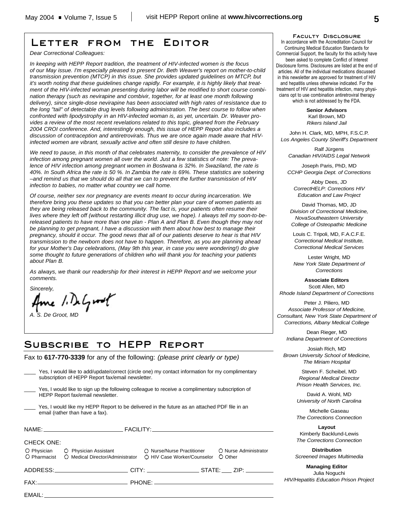## **Letter from the Editor**

*Dear Correctional Colleagues:*

*In keeping with HEPP Report tradition, the treatment of HIV-infected women is the focus of our May issue. I'm especially pleased to present Dr. Beth Weaver's report on mother-to-child transmission prevention (MTCP) in this issue. She provides updated guidelines on MTCP, but it's worth noting that these guidelines change rapidly. For example, it is highly likely that treatment of the HIV-infected woman presenting during labor will be modified to short course combination therapy (such as nevirapine and combivir, together, for at least one month following delivery), since single-dose nevirapine has been associated with high rates of resistance due to the long "tail" of detectable drug levels following administration. The best course to follow when confronted with lipodystrophy in an HIV-infected woman is, as yet, uncertain. Dr. Weaver provides a review of the most recent revelations related to this topic, gleaned from the February 2004 CROI conference. And, interestingly enough, this issue of HEPP Report also includes a discussion of contraception and antiretrovirals. Thus we are once again made aware that HIVinfected women are vibrant, sexually active and often still desire to have children.*

*We need to pause, in this month of that celebrates maternity, to consider the prevalence of HIV infection among pregnant women all over the world. Just a few statistics of note: The prevalence of HIV infection among pregnant women in Bostwana is 32%. In Swaziland, the rate is 40%. In South Africa the rate is 50 %. In Zambia the rate is 69%. These statistics are sobering –and remind us that we should do all that we can to prevent the further transmission of HIV infection to babies, no matter what country we call home.*

*Of course, neither sex nor pregnancy are events meant to occur during incarceration. We therefore bring you these updates so that you can better plan your care of women patients as they are being released back to the community. The fact is, your patients often resume their lives where they left off (without restarting illicit drug use, we hope). I always tell my soon-to-bereleased patients to have more than one plan - Plan A and Plan B. Even though they may not be planning to get pregnant, I have a discussion with them about how best to manage their pregnancy, should it occur. The good news that all of our patients deserve to hear is that HIV transmission to the newborn does not have to happen. Therefore, as you are planning ahead for your Mother's Day celebrations, (May 9th this year, in case you were wondering!) do give some thought to future generations of children who will thank you for teaching your patients about Plan B.*

*As always, we thank our readership for their interest in HEPP Report and we welcome your comments.* 

*Sincerely,*

Ame 1. DeGroot

*A. S. De Groot, MD*

# **Subscribe to HEPP Report**

Fax to **617-770-3339** for any of the following: *(please print clearly or type)*

|                                                                                                                                 | Yes, I would like to add/update/correct (circle one) my contact information for my complimentary<br>subscription of HEPP Report fax/email newsletter.                                                                          |  |                       |
|---------------------------------------------------------------------------------------------------------------------------------|--------------------------------------------------------------------------------------------------------------------------------------------------------------------------------------------------------------------------------|--|-----------------------|
|                                                                                                                                 | Yes, I would like to sign up the following colleague to receive a complimentary subscription of<br>HEPP Report fax/email newsletter.                                                                                           |  |                       |
| Yes, I would like my HEPP Report to be delivered in the future as an attached PDF file in an<br>email (rather than have a fax). |                                                                                                                                                                                                                                |  |                       |
|                                                                                                                                 |                                                                                                                                                                                                                                |  |                       |
| <b>CHECK ONE:</b>                                                                                                               | O Physician O Physician Assistant O Nurse/Nurse Practitioner<br>O Pharmacist C Medical Director/Administrator C HIV Case Worker/Counselor O Other                                                                              |  | O Nurse Administrator |
|                                                                                                                                 |                                                                                                                                                                                                                                |  |                       |
|                                                                                                                                 |                                                                                                                                                                                                                                |  |                       |
|                                                                                                                                 | EMAIL: The contract of the contract of the contract of the contract of the contract of the contract of the contract of the contract of the contract of the contract of the contract of the contract of the contract of the con |  |                       |
|                                                                                                                                 |                                                                                                                                                                                                                                |  |                       |

**Faculty Disclosure**

In accordance with the Accreditation Council for Continuing Medical Education Standards for Commercial Support, the faculty for this activity have been asked to complete Conflict of Interest Disclosure forms. Disclosures are listed at the end of articles. All of the individual medications discussed in this newsletter are approved for treatment of HIV and hepatitis unless otherwise indicated. For the treatment of HIV and hepatitis infection, many physicians opt to use combination antiretroviral therapy which is not addressed by the FDA.

> **Senior Advisors** Karl Brown, MD *Rikers Island Jail*

John H. Clark, MD, MPH, F.S.C.P. *Los Angeles County Sheriff's Department*

Ralf Jürgens *Canadian HIV/AIDS Legal Network*

Joseph Paris, PhD, MD *CCHP Georgia Dept. of Corrections*

Abby Dees, JD *CorrectHELP: Corrections HIV Education and Law Project*

David Thomas, MD, JD *Division of Correctional Medicine, NovaSoutheastern University College of Osteopathic Medicine*

Louis C. Tripoli, MD, F.A.C.F.E. *Correctional Medical Institute, Correctional Medical Services*

Lester Wright, MD *New York State Department of Corrections*

**Associate Editors** Scott Allen, MD *Rhode Island Department of Corrections*

Peter J. Piliero, MD *Associate Professor of Medicine, Consultant, New York State Department of Corrections, Albany Medical College*

Dean Rieger, MD *Indiana Department of Corrections*

Josiah Rich, MD *Brown University School of Medicine, The Miriam Hospital*

> Steven F. Scheibel, MD *Regional Medical Director Prison Health Services, Inc.*

> David A. Wohl, MD *University of North Carolina*

> Michelle Gaseau *The Corrections Connection*

> **Layout** Kimberly Backlund-Lewis *The Corrections Connection*

**Distribution** *Screened Images Multimedia*

**Managing Editor** Julia Noguchi *HIV/Hepatitis Education Prison Project*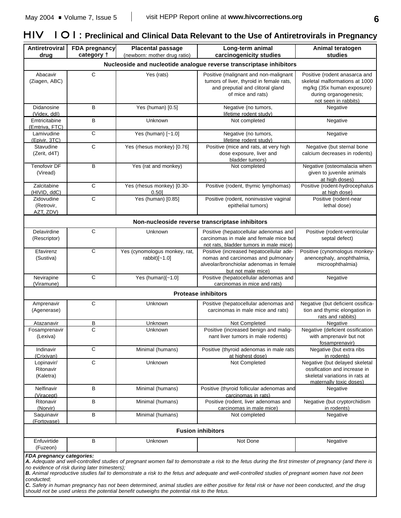# **HIV 101: Preclinical and Clinical Data Relevant to the Use of Antiretrovirals in Pregnancy**

| Antiretroviral<br>drug                                                                                                                                                                                                                | FDA pregnancy<br>category +                                         | <b>Placental passage</b><br>(newborn: mother drug ratio) | Long-term animal<br>carcinogenicity studies                                                                                                    | Animal teratogen<br>studies                                                                                                                    |  |  |
|---------------------------------------------------------------------------------------------------------------------------------------------------------------------------------------------------------------------------------------|---------------------------------------------------------------------|----------------------------------------------------------|------------------------------------------------------------------------------------------------------------------------------------------------|------------------------------------------------------------------------------------------------------------------------------------------------|--|--|
|                                                                                                                                                                                                                                       | Nucleoside and nucleotide analogue reverse transcriptase inhibitors |                                                          |                                                                                                                                                |                                                                                                                                                |  |  |
| Abacavir<br>(Ziagen, ABC)                                                                                                                                                                                                             | C                                                                   | Yes (rats)                                               | Positive (malignant and non-malignant<br>tumors of liver, thyroid in female rats,<br>and preputial and clitoral gland<br>of mice and rats)     | Positive (rodent anasarca and<br>skeletal malformations at 1000<br>mg/kg (35x human exposure)<br>during organogenesis;<br>not seen in rabbits) |  |  |
| Didanosine<br>(Videx, ddl)                                                                                                                                                                                                            | B                                                                   | Yes (human) [0.5]                                        | Negative (no tumors,<br>lifetime rodent study)                                                                                                 | Negative                                                                                                                                       |  |  |
| Emtricitabine<br>(Emtriva, FTC)                                                                                                                                                                                                       | B                                                                   | Unknown                                                  | Not completed                                                                                                                                  | Negative                                                                                                                                       |  |  |
| Lamivudine<br>(Epivir, 3TC)                                                                                                                                                                                                           | $\mathbf C$                                                         | Yes (human) [~1.0]                                       | Negative (no tumors,<br>lifetime rodent study)                                                                                                 | Negative                                                                                                                                       |  |  |
| Stavudine<br>(Zerit, d4T)                                                                                                                                                                                                             | $\mathsf{C}$                                                        | Yes (rhesus monkey) [0.76]                               | Positive (mice and rats, at very high<br>dose exposure, liver and<br>bladder tumors)                                                           | Negative (but sternal bone<br>calcium decreases in rodents)                                                                                    |  |  |
| Tenofovir DF<br>(Viread)                                                                                                                                                                                                              | B                                                                   | Yes (rat and monkey)                                     | Not completed                                                                                                                                  | Negative (osteomalacia when<br>given to juvenile animals<br>at high doses)                                                                     |  |  |
| Zalcitabine<br>(HIVID, ddC)                                                                                                                                                                                                           | $\mathbf C$                                                         | Yes (rhesus monkey) [0.30-<br>0.501                      | Positive (rodent, thymic lymphomas)                                                                                                            | Positive (rodent-hydrocephalus<br>at high dose)                                                                                                |  |  |
| Zidovudine<br>(Retrovir,<br>AZT, ZDV)                                                                                                                                                                                                 | C                                                                   | Yes (human) [0.85]                                       | Positive (rodent, noninvasive vaginal<br>epithelial tumors)                                                                                    | Positive (rodent-near<br>lethal dose)                                                                                                          |  |  |
|                                                                                                                                                                                                                                       |                                                                     |                                                          | Non-nucleoside reverse transcriptase inhibitors                                                                                                |                                                                                                                                                |  |  |
| Delavirdine<br>(Rescriptor)                                                                                                                                                                                                           | C                                                                   | Unknown                                                  | Positive (hepatocellular adenomas and<br>carcinomas in male and female mice but<br>not rats, bladder tumors in male mice)                      | Positive (rodent-ventricular<br>septal defect)                                                                                                 |  |  |
| Efavirenz<br>(Sustiva)                                                                                                                                                                                                                | $\overline{C}$                                                      | Yes (cynomologus monkey, rat,<br>rabbit)[~1.0]           | Positive (increased hepatocellular ade-<br>nomas and carcinomas and pulmonary<br>alveolar/bronchiolar adenomas in female<br>but not male mice) | Positive (cynomologus monkey-<br>anencephaly, anophthalmia,<br>microophthalmia)                                                                |  |  |
| Nevirapine<br>(Viramune)                                                                                                                                                                                                              | C                                                                   | Yes (human) $[-1.0]$                                     | Positive (hepatocellular adenomas and<br>carcinomas in mice and rats)                                                                          | Negative                                                                                                                                       |  |  |
|                                                                                                                                                                                                                                       |                                                                     |                                                          | <b>Protease inhibitors</b>                                                                                                                     |                                                                                                                                                |  |  |
| Amprenavir<br>(Agenerase)                                                                                                                                                                                                             | C                                                                   | Unknown                                                  | Positive (hepatocellular adenomas and<br>carcinomas in male mice and rats)                                                                     | Negative (but deficient ossifica-<br>tion and thymic elongation in<br>rats and rabbits)                                                        |  |  |
| Atazanavir                                                                                                                                                                                                                            | B                                                                   | Unknown                                                  | Not Completed                                                                                                                                  | Negative                                                                                                                                       |  |  |
| Fosamprenavir<br>(Lexiva)                                                                                                                                                                                                             | C                                                                   | Unknown                                                  | Positive (increased benign and malig-<br>nant liver tumors in male rodents)                                                                    | Negative (deficient ossification<br>with amprenavir but not<br>fosamprenavir)                                                                  |  |  |
| Indinavir<br>(Crixivan)                                                                                                                                                                                                               | $\mathbf C$                                                         | Minimal (humans)                                         | Positive (thyroid adenomas in male rats<br>at highest dose)                                                                                    | Negative (but extra ribs<br>in rodents)                                                                                                        |  |  |
| Lopinavir/<br>Ritonavir<br>(Kaletra)                                                                                                                                                                                                  | $\mathsf C$                                                         | Unknown                                                  | Not Completed                                                                                                                                  | Negative (but delayed skeletal<br>ossification and increase in<br>skeletal variations in rats at<br>maternally toxic doses)                    |  |  |
| Nelfinavir<br>(Viracept)                                                                                                                                                                                                              | B                                                                   | Minimal (humans)                                         | Positive (thyroid follicular adenomas and<br>carcinomas in rats)                                                                               | Negative                                                                                                                                       |  |  |
| Ritonavir<br>(Norvir)                                                                                                                                                                                                                 | B                                                                   | Minimal (humans)                                         | Positive (rodent, liver adenomas and<br>carcinomas in male mice)                                                                               | Negative (but cryptorchidism<br>in rodents)                                                                                                    |  |  |
| Saquinavir<br>(Fortovase)                                                                                                                                                                                                             | В                                                                   | Minimal (humans)                                         | Not completed                                                                                                                                  | Negative                                                                                                                                       |  |  |
|                                                                                                                                                                                                                                       |                                                                     |                                                          | <b>Fusion inhibitors</b>                                                                                                                       |                                                                                                                                                |  |  |
| Enfuvirtide<br>(Fuzeon)                                                                                                                                                                                                               | B                                                                   | Unknown                                                  | Not Done                                                                                                                                       | Negative                                                                                                                                       |  |  |
| FDA pregnancy categories:<br>A. Adequate and well-controlled studies of pregnant women fail to demonstrate a risk to the fetus during the first trimester of pregnancy (and there is<br>no evidence of risk during later trimesters); |                                                                     |                                                          |                                                                                                                                                |                                                                                                                                                |  |  |

*B. Animal reproductive studies fail to demonstrate a risk to the fetus and adequate and well-controlled studies of pregnant women have not been conducted;* 

*C. Safety in human pregnancy has not been determined, animal studies are either positive for fetal risk or have not been conducted, and the drug should not be used unless the potential benefit outweighs the potential risk to the fetus.*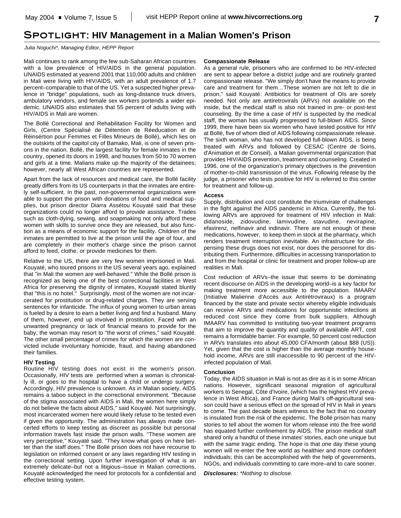## **Spotlight: HIV Management in a Malian Women's Prison**

*Julia Noguchi\*, Managing Editor, HEPP Report*

Mali continues to rank among the few sub-Saharan African countries with a low prevalence of HIV/AIDS in the general population. UNAIDS estimated at yearend 2001 that 110,000 adults and children in Mali were living with HIV/AIDS, with an adult prevalence of 1.7 percent–comparable to that of the US. Yet a suspected higher prevalence in "bridge" populations, such as long-distance truck drivers, ambulatory vendors, and female sex workers portends a wider epidemic. UNAIDS also estimates that 55 percent of adults living with HIV/AIDS in Mali are women.

The Bollé Correctional and Rehabilitation Facility for Women and Girls, (Centre Spécialisé de Détention de Réeducation et de Réinsértion pour Femmes et Filles Mineurs de Bollé), which lies on the outskirts of the capitol city of Bamako, Mali, is one of seven prisons in the nation. Bollé, the largest facility for female inmates in the country, opened its doors in 1998, and houses from 50 to 70 women and girls at a time. Malians make up the majority of the detainees; however, nearly all West African countries are represented.

Apart from the lack of resources and medical care, the Bollé facility greatly differs from its US counterparts in that the inmates are entirely self-sufficient. In the past, non-governmental organizations were able to support the prison with donations of food and medical supplies, but prison director Diarra Assétou Kouyaté said that these organizations could no longer afford to provide assistance. Trades such as cloth-dying, sewing, and soapmaking not only afford these women with skills to survive once they are released, but also function as a means of economic support for the facility. Children of the inmates are permitted to live at the prison until the age of four, and are completely in their mother's charge since the prison cannot afford to feed, clothe, or provide medicines for them.

Relative to the US, there are very few women imprisoned in Mali. Kouyaté, who toured prisons in the US several years ago, explained that "in Mali the women are well-behaved." While the Bollé prison is recognized as being one of the best correctional facilities in West Africa for preserving the dignity of inmates, Kouyaté stated bluntly that "this is no hotel." Surprisingly, most of the women are not incarcerated for prostitution or drug-related charges. They are serving sentences for infanticide. The influx of young women to urban areas is fueled by a desire to earn a better living and find a husband. Many of them, however, end up involved in prostitution. Faced with an unwanted pregnancy or lack of financial means to provide for the baby, the woman may resort to "the worst of crimes," said Kouyaté. The other small percentage of crimes for which the women are convicted include involuntary homicide, fraud, and having abandoned their families.

#### **HIV Testing**

Routine HIV testing does not exist in the women's prison. Occasionally, HIV tests are performed when a woman is chronically ill, or goes to the hospital to have a child or undergo surgery. Accordingly, HIV prevalence is unknown. As in Malian society, AIDS remains a taboo subject in the correctional environment. "Because of the stigma associated with AIDS in Mali, the women here simply do not believe the facts about AIDS," said Kouyaté. Not surprisingly, most incarcerated women here would likely refuse to be tested even if given the opportunity. The administration has always made concerted efforts to keep testing as discreet as possible but personal information travels fast inside the prison walls. "These women are very perceptive," Kouyaté said. "They know what goes on here better than the staff does." The Bollé prison does not have recourse to legislation on informed consent or any laws regarding HIV testing in the correctional setting. Upon further investigation of what is an extremely delicate–but not a litigious–issue in Malian corrections, Kouyaté acknowledged the need for protocols for a confidential and effective testing system.

#### **Compassionate Release**

As a general rule, prisoners who are confirmed to be HIV-infected are sent to appear before a district judge and are routinely granted compassionate release. "We simply don't have the means to provide care and treatment for them…These women are not left to die in prison," said Kouyaté. Antibiotics for treatment of OIs are sorely needed. Not only are antiretrovirals (ARVs) not available on the inside, but the medical staff is also not trained in pre- or post-test counseling. By the time a case of HIV is suspected by the medical staff, the woman has usually progressed to full-blown AIDS. Since 1999, there have been six women who have tested positive for HIV at Bollé, five of whom died of AIDS following compassionate release. The sixth woman, who has not developed full-blown AIDS, is being treated with ARVs and followed by CESAC (Centre de Soins, d'Animation et de Conseil), a Malian governmental organization that provides HIV/AIDS prevention, treatment and counseling. Created in 1996, one of the organization's primary objectives is the prevention of mother-to-child transmission of the virus. Following release by the judge, a prisoner who tests positive for HIV is referred to this center for treatment and follow-up.

#### **Access**

Supply, distribution and cost constitute the triumvirate of challenges in the fight against the AIDS pandemic in Africa. Currently, the following ARVs are approved for treatment of HIV infection in Mali: didanoside, zidovudine, lamivudine, stavudine, nevirapine, efavirenz, nelfinavir and indinavir. There are not enough of these medications, however, to keep them in stock at the pharmacy, which renders treatment interruption inevitable. An infrastructure for dispensing these drugs does not exist, nor does the personnel for distributing them. Furthermore, difficulties in accessing transportation to and from the hospital or clinic for treatment and proper follow-up are realities in Mali.

Cost reduction of ARVs–the issue that seems to be dominating recent discourse on AIDS in the developing world–is a key factor for making treatment more accessible to the population. IMAARV (Initiative Malienne d'Accès aux Antirétroviraux) is a program financed by the state and private sector whereby eligible individuals can receive ARVs and medications for opportunistic infections at reduced cost since they come from bulk suppliers. Although IMAARV has committed to instituting two-year treatment programs that aim to improve the quantity and quality of available ART, cost remains a formidable barrier. For example, 50 percent cost reduction in ARVs translates into about 45,000 CFA/month (about \$88 (US)). Yet, given that the cost is higher than the average monthly household income, ARVs are still inaccessible to 90 percent of the HIVinfected population of Mali.

#### **Conclusion**

Today, the AIDS situation in Mali is not as dire as it is in some African nations. However, significant seasonal migration of agricultural workers to Senegal, Côte d'Ivoire, (which has the highest HIV prevalence in West Africa), and France during Mali's off-agricultural season could have a serious effect on the spread of HIV in Mali in years to come. The past decade bears witness to the fact that no country is insulated from the risk of the epidemic. The Bollé prison has many stories to tell about the women for whom release into the free world has equated further confinement by AIDS. The prison medical staff shared only a handful of these inmates' stories, each one unique but with the same tragic ending. The hope is that one day these young women will re-enter the free world as healthier and more confident individuals; this can be accomplished with the help of governments, NGOs, and individuals committing to care more–and to care sooner.

*Disclosures: \*Nothing to disclose.*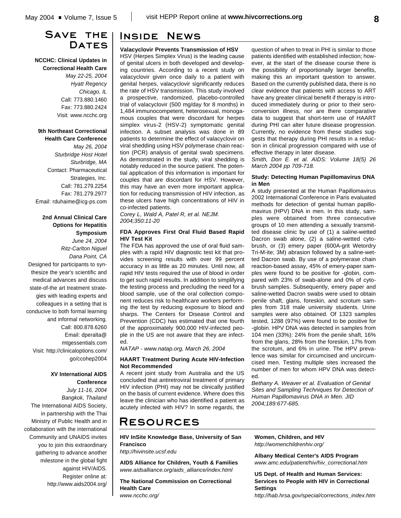# **Save the** DATES

**NCCHC: Clinical Updates in Correctional Health Care** *May 22-25, 2004 Hyatt Regency Chicago, IL* Call: 773.880.1460 Fax: 773.880.2424 Visit: www.ncchc.org

**9th Northeast Correctional Health Care Conference** *May 26, 2004 Sturbridge Host Hotel Sturbridge, MA* Contact: Pharmaceutical Strategies, Inc. Call: 781.279.2254 Fax: 781.279.2977 Email: rduhaime@icg-ps.com

**2nd Annual Clinical Care Options for Hepatitis Symposium** *June 24, 2004 Ritz-Carlton Niguel Dana Point, CA* Designed for participants to syn-

thesize the year's scientific and medical advances and discuss state-of-the art treatment strategies with leading experts and colleagues in a setting that is conducive to both formal learning and informal networking. Call: 800.878.6260 Email: dperalta@ mtgessentials.com Visit: http://clinicaloptions.com/ go/ccohep2004

### **XV International AIDS Conference**

*July 11-16, 2004 Bangkok, Thailand* The International AIDS Society, in partnership with the Thai Ministry of Public Health and in collaboration with the international Community and UNAIDS invites you to join this extraordinary gathering to advance another milestone in the global fight against HIV/AIDS. Register online at: http://www.aids2004.org/

## **Inside News**

#### **Valacyclovir Prevents Transmission of HSV**

HSV (Herpes Simplex Virus) is the leading cause of genital ulcers in both developed and developing countries. According to a recent study on valacyclovir given once daily to a patient with genital herpes, valacyclovir significantly reduces the rate of HSV transmission. This study involved a prospective, randomized, placebo-controlled trial of valacyclovir (500 mg/day for 8 months) in 1,484 immunocompetent, heterosexual, monogamous couples that were discordant for herpes simplex virus-2 (HSV-2) symptomatic genital infection. A subset analysis was done in 89 patients to determine the effect of valacyclovir on viral shedding using HSV polymerase chain reaction (PCR) analysis of genital swab specimens. As demonstrated in the study, viral shedding is notably reduced in the source patient. The potential application of this information is important for couples that are discordant for HSV. However, this may have an even more important application for reducing transmission of HIV infection, as these ulcers have high concentrations of HIV in co-infected patients.

*Corey L, Wald A, Patel R, et al. NEJM. 2004;350:11-20*

#### **FDA Approves First Oral Fluid Based Rapid HIV Test Kit**

The FDA has approved the use of oral fluid samples with a rapid HIV diagnostic test kit that provides screening results with over 99 percent accuracy in as little as 20 minutes. Until now, all rapid HIV tests required the use of blood in order to get such rapid results. In addition to simplifying the testing process and precluding the need for a blood sample, use of the oral collection component reduces risk to healthcare workers performing the test by reducing exposure to blood and sharps. The Centers for Disease Control and Prevention (CDC) has estimated that one fourth of the approximately 900,000 HIV-infected people in the US are not aware that they are infected.

*NATAP - www.natap.org, March 26, 2004*

#### **HAART Treatment During Acute HIV-Infection Not Recommended**

A recent joint study from Australia and the US concluded that antiretroviral treatment of primary HIV infection (PHI) may not be clinically justified on the basis of current evidence. Where does this leave the clinician who has identified a patient as acutely infected with HIV? In some regards, the

# **Resources**

**HIV InSite Knowledge Base, University of San Francisco**

*http://hivinsite.ucsf.edu*

**AIDS Alliance for Children, Youth & Families** *www.aidsalliance.org/aids\_alliance/index.html*

**The National Commission on Correctional Health Care** *www.ncchc.org/*

question of when to treat in PHI is similar to those patients identified with established infection; however, at the start of the disease course there is the possibility of proportionally larger benefits, making this an important question to answer. Based on the currently published data, there is no clear evidence that patients with access to ART have any greater clinical benefit if therapy is introduced immediately during or prior to their seroconversion illness, nor are there comparative data to suggest that short-term use of HAART during PHI can alter future disease progression. Currently, no evidence from these studies suggests that therapy during PHI results in a reduction in clinical progression compared with use of effective therapy in later disease.

*Smith, Don E. et al. AIDS: Volume 18(5) 26 March 2004 pp 709-718.*

#### **Study: Detecting Human Papillomavirus DNA in Men**

A study presented at the Human Papillomavirus 2002 International Conference in Paris evaluated methods for detection of genital human papillomavirus (HPV) DNA in men. In this study, samples were obtained from three consecutive groups of 10 men attending a sexually transmitted disease clinic by use of (1) a saline-wetted Dacron swab alone, (2) a saline-wetted cytobrush, or (3) emery paper (600A-grit Wetordry Tri-M-ite; 3M) abrasion followed by a saline-wetted Dacron swab. By use of a polymerase chain reaction-based assay, 45% of emery-paper samples were found to be positive for -globin, compared with 23% of swab-alone and 0% of cytobrush samples. Subsequently, emery paper and saline-wetted Dacron swabs were used to obtain penile shaft, glans, foreskin, and scrotum samples from 318 male university students. Urine samples were also obtained. Of 1323 samples tested, 1288 (97%) were found to be positive for -globin. HPV DNA was detected in samples from 104 men (33%): 24% from the penile shaft, 16% from the glans, 28% from the foreskin, 17% from the scrotum, and 6% in urine. The HPV prevalence was similar for circumcised and uncircumcised men. Testing multiple sites increased the number of men for whom HPV DNA was detected.

*Bethany A. Weaver et al. Evaluation of Genital Sites and Sampling Techniques for Detection of Human Papillomavirus DNA in Men. JID 2004;189:677-685.*

#### **Women, Children, and HIV** *http://womenchildrenhiv.org/*

**Albany Medical Center's AIDS Program** *www.amc.edu/patient/hiv/hiv\_correctional.htm*

**US Dept. of Health and Human Services: Services to People with HIV in Correctional Settings**

*http://hab.hrsa.gov/special/corrections\_index.htm*